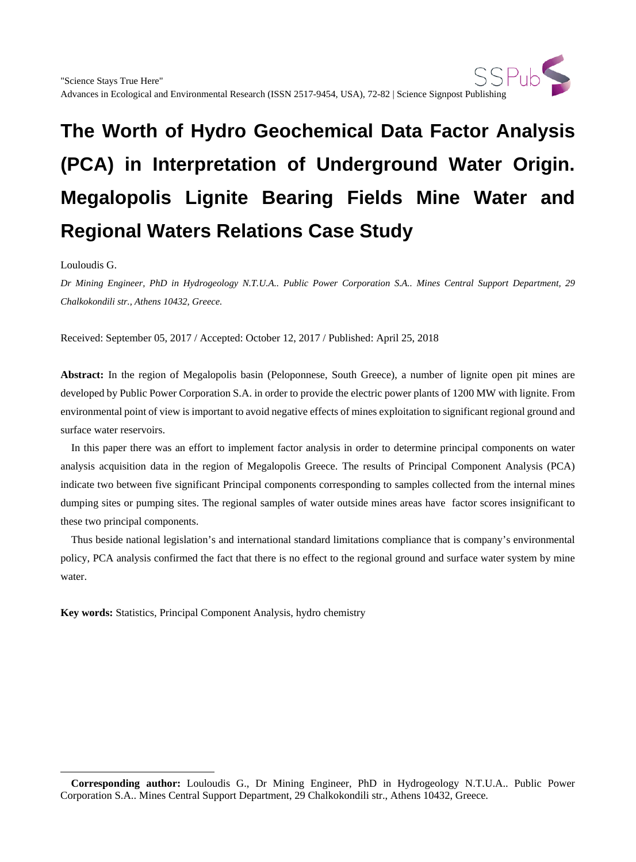Louloudis G.

 $\overline{a}$ 

*Dr Mining Engineer, PhD in Hydrogeology N.T.U.A.. Public Power Corporation S.A.. Mines Central Support Department, 29 Chalkokondili str., Athens 10432, Greece.*

Received: September 05, 2017 / Accepted: October 12, 2017 / Published: April 25, 2018

**Abstract:** In the region of Megalopolis basin (Peloponnese, South Greece), a number of lignite open pit mines are developed by Public Power Corporation S.A. in order to provide the electric power plants of 1200 MW with lignite. From environmental point of view is important to avoid negative effects of mines exploitation to significant regional ground and surface water reservoirs.

In this paper there was an effort to implement factor analysis in order to determine principal components on water analysis acquisition data in the region of Megalopolis Greece. The results of Principal Component Analysis (PCA) indicate two between five significant Principal components corresponding to samples collected from the internal mines dumping sites or pumping sites. The regional samples of water outside mines areas have factor scores insignificant to these two principal components.

Thus beside national legislation's and international standard limitations compliance that is company's environmental policy, PCA analysis confirmed the fact that there is no effect to the regional ground and surface water system by mine water.

**Key words:** Statistics, Principal Component Analysis, hydro chemistry

<span id="page-0-0"></span>**Corresponding author:** Louloudis G., Dr Mining Engineer, PhD in Hydrogeology N.T.U.A.. Public Power Corporation S.A.. Mines Central Support Department, 29 Chalkokondili str., Athens 10432, Greece.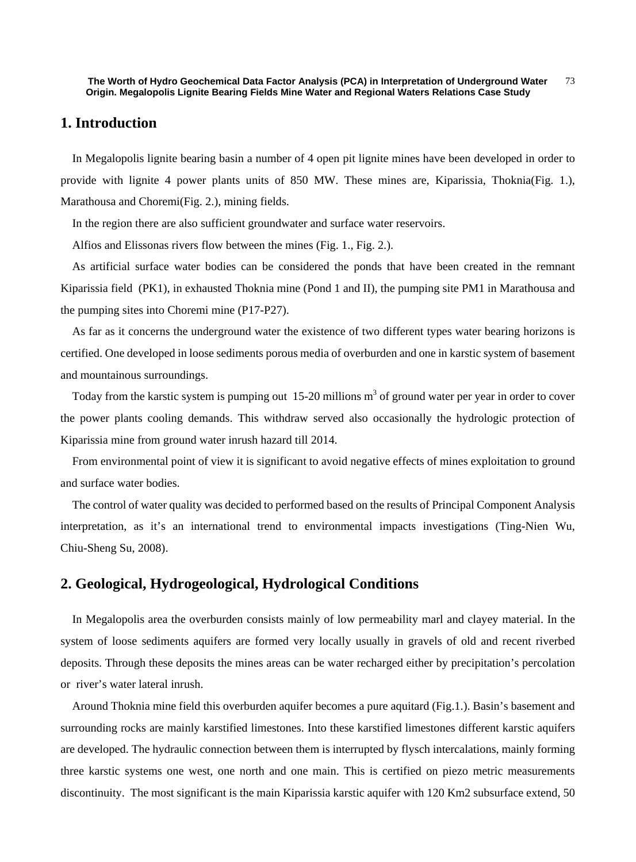## **1. Introduction**

In Megalopolis lignite bearing basin a number of 4 open pit lignite mines have been developed in order to provide with lignite 4 power plants units of 850 MW. These mines are, Kiparissia, Thoknia(Fig. 1.), Marathousa and Choremi(Fig. 2.), mining fields.

In the region there are also sufficient groundwater and surface water reservoirs.

Alfios and Elissonas rivers flow between the mines (Fig. 1., Fig. 2.).

As artificial surface water bodies can be considered the ponds that have been created in the remnant Kiparissia field (PK1), in exhausted Thoknia mine (Pond 1 and II), the pumping site PM1 in Marathousa and the pumping sites into Choremi mine (P17-P27).

As far as it concerns the underground water the existence of two different types water bearing horizons is certified. One developed in loose sediments porous media of overburden and one in karstic system of basement and mountainous surroundings.

Today from the karstic system is pumping out 15-20 millions  $m<sup>3</sup>$  of ground water per year in order to cover the power plants cooling demands. This withdraw served also occasionally the hydrologic protection of Kiparissia mine from ground water inrush hazard till 2014.

From environmental point of view it is significant to avoid negative effects of mines exploitation to ground and surface water bodies.

The control of water quality was decided to performed based on the results of Principal Component Analysis interpretation, as it's an international trend to environmental impacts investigations (Ting-Nien Wu, Chiu-Sheng Su, 2008).

## **2. Geological, Hydrogeological, Hydrological Conditions**

In Megalopolis area the overburden consists mainly of low permeability marl and clayey material. In the system of loose sediments aquifers are formed very locally usually in gravels of old and recent riverbed deposits. Through these deposits the mines areas can be water recharged either by precipitation's percolation or river's water lateral inrush.

Around Thoknia mine field this overburden aquifer becomes a pure aquitard (Fig.1.). Basin's basement and surrounding rocks are mainly karstified limestones. Into these karstified limestones different karstic aquifers are developed. The hydraulic connection between them is interrupted by flysch intercalations, mainly forming three karstic systems one west, one north and one main. This is certified on piezo metric measurements discontinuity. The most significant is the main Kiparissia karstic aquifer with 120 Km2 subsurface extend, 50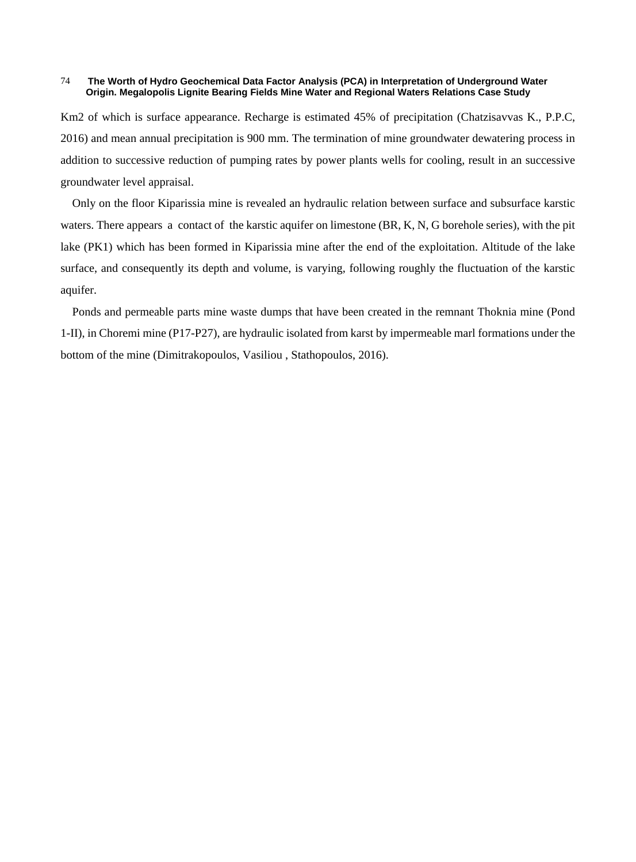Km2 of which is surface appearance. Recharge is estimated 45% of precipitation (Chatzisavvas K., P.P.C, 2016) and mean annual precipitation is 900 mm. The termination of mine groundwater dewatering process in addition to successive reduction of pumping rates by power plants wells for cooling, result in an successive groundwater level appraisal.

Only on the floor Kiparissia mine is revealed an hydraulic relation between surface and subsurface karstic waters. There appears a contact of the karstic aquifer on limestone (BR, K, N, G borehole series), with the pit lake (PK1) which has been formed in Kiparissia mine after the end of the exploitation. Altitude of the lake surface, and consequently its depth and volume, is varying, following roughly the fluctuation of the karstic aquifer.

Ponds and permeable parts mine waste dumps that have been created in the remnant Thoknia mine (Pond 1-II), in Choremi mine (P17-P27), are hydraulic isolated from karst by impermeable marl formations under the bottom of the mine (Dimitrakopoulos, Vasiliou , Stathopoulos, 2016).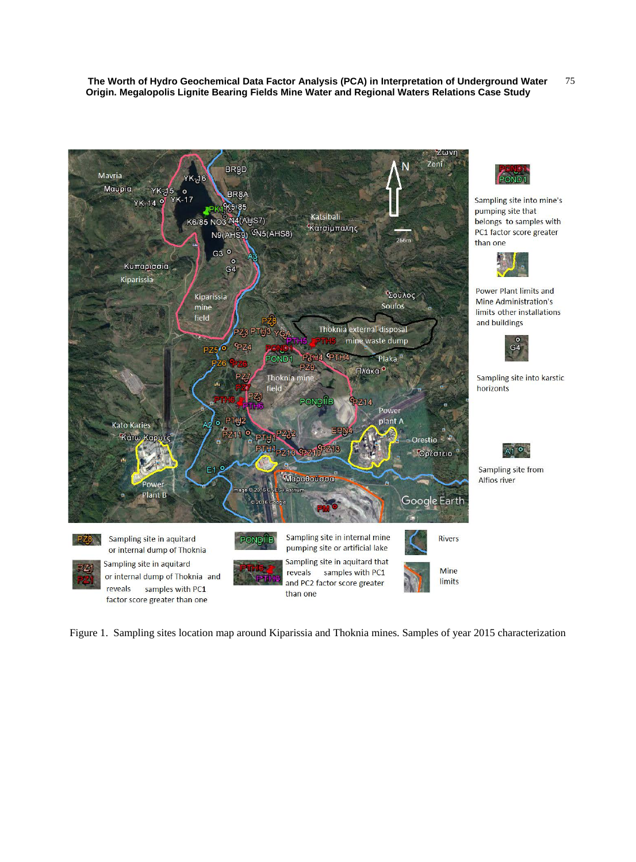

Sampling site into mine's pumping site that belongs to samples with PC1 factor score greater than one

Power Plant limits and Mine Administration's limits other installations and buildings



Sampling site into karstic horizonts



Sampling site from Alfios river

Figure 1. Sampling sites location map around Kiparissia and Thoknia mines. Samples of year 2015 characterization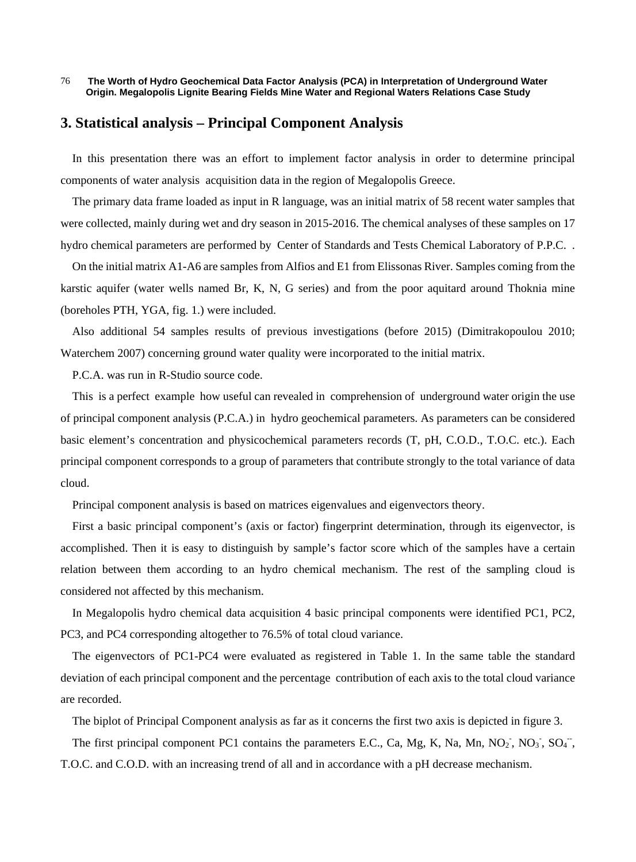# **3. Statistical analysis – Principal Component Analysis**

In this presentation there was an effort to implement factor analysis in order to determine principal components of water analysis acquisition data in the region of Megalopolis Greece.

The primary data frame loaded as input in R language, was an initial matrix of 58 recent water samples that were collected, mainly during wet and dry season in 2015-2016. The chemical analyses of these samples on 17 hydro chemical parameters are performed by Center of Standards and Tests Chemical Laboratory of P.P.C. .

On the initial matrix A1-A6 are samples from Alfios and E1 from Elissonas River. Samples coming from the karstic aquifer (water wells named Br, K, N, G series) and from the poor aquitard around Thoknia mine (boreholes PTH, YGA, fig. 1.) were included.

Also additional 54 samples results of previous investigations (before 2015) (Dimitrakopoulou 2010; Waterchem 2007) concerning ground water quality were incorporated to the initial matrix.

P.C.A. was run in R-Studio source code.

This is a perfect example how useful can revealed in comprehension of underground water origin the use of principal component analysis (P.C.A.) in hydro geochemical parameters. As parameters can be considered basic element's concentration and physicochemical parameters records (T, pH, C.O.D., T.O.C. etc.). Each principal component corresponds to a group of parameters that contribute strongly to the total variance of data cloud.

Principal component analysis is based on matrices eigenvalues and eigenvectors theory.

First a basic principal component's (axis or factor) fingerprint determination, through its eigenvector, is accomplished. Then it is easy to distinguish by sample's factor score which of the samples have a certain relation between them according to an hydro chemical mechanism. The rest of the sampling cloud is considered not affected by this mechanism.

In Megalopolis hydro chemical data acquisition 4 basic principal components were identified PC1, PC2, PC3, and PC4 corresponding altogether to 76.5% of total cloud variance.

The eigenvectors of PC1-PC4 were evaluated as registered in Table 1. In the same table the standard deviation of each principal component and the percentage contribution of each axis to the total cloud variance are recorded.

The biplot of Principal Component analysis as far as it concerns the first two axis is depicted in figure 3.

The first principal component PC1 contains the parameters E.C., Ca, Mg, K, Na, Mn, NO<sub>2</sub>, NO<sub>3</sub>, SO<sub>4</sub><sup>-</sup>,

T.O.C. and C.O.D. with an increasing trend of all and in accordance with a pH decrease mechanism.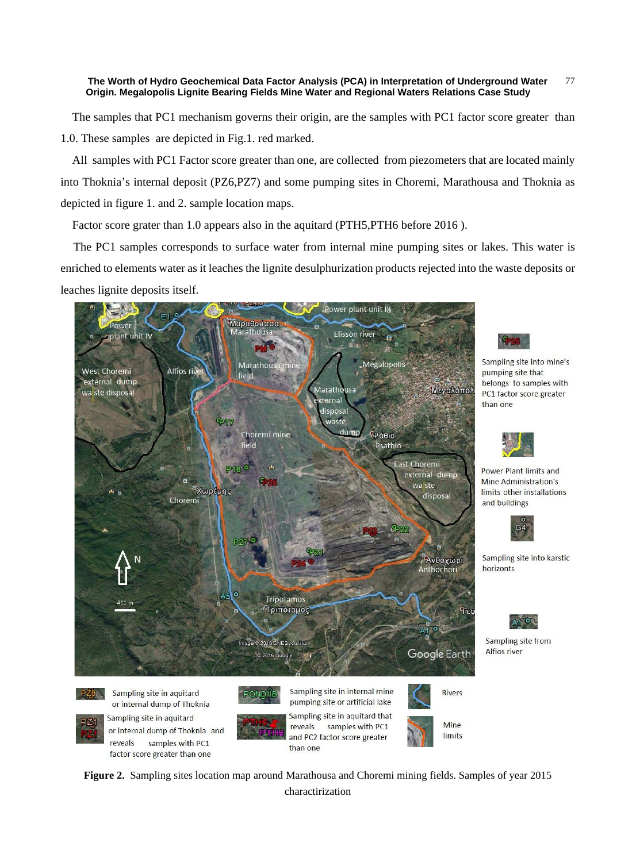The samples that PC1 mechanism governs their origin, are the samples with PC1 factor score greater than 1.0. These samples are depicted in Fig.1. red marked.

All samples with PC1 Factor score greater than one, are collected from piezometers that are located mainly into Thoknia's internal deposit (PZ6,PZ7) and some pumping sites in Choremi, Marathousa and Thoknia as depicted in figure 1. and 2. sample location maps.

Factor score grater than 1.0 appears also in the aquitard (PTH5, PTH6 before 2016).

The PC1 samples corresponds to surface water from internal mine pumping sites or lakes. This water is enriched to elements water as it leaches the lignite desulphurization products rejected into the waste deposits or leaches lignite deposits itself.



reveals

samples with PC1

factor score greater than one



Sampling site into mine's pumping site that belongs to samples with PC1 factor score greater than one



Power Plant limits and Mine Administration's limits other installations and buildings



Sampling site into karstic horizonts



Sampling site from Alfios river

limits



than one

charactirization

and PC2 factor score greater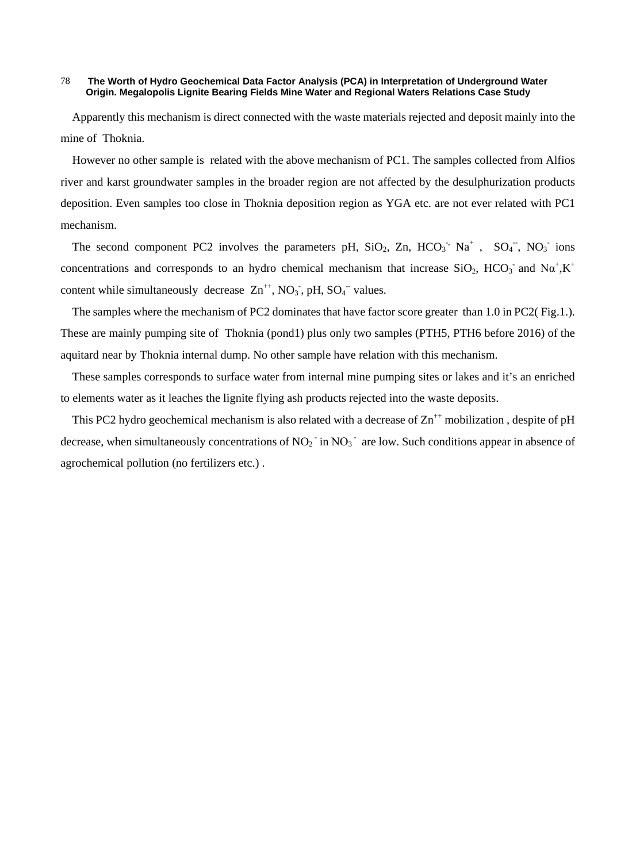Apparently this mechanism is direct connected with the waste materials rejected and deposit mainly into the mine of Thoknia.

However no other sample is related with the above mechanism of PC1. The samples collected from Alfios river and karst groundwater samples in the broader region are not affected by the desulphurization products deposition. Even samples too close in Thoknia deposition region as YGA etc. are not ever related with PC1 mechanism.

The second component PC2 involves the parameters pH,  $SiO_2$ , Zn,  $HCO_3$ <sup>-</sup>, Na<sup>+</sup>, SO<sub>4</sub><sup>-</sup>, NO<sub>3</sub><sup>-</sup> ions concentrations and corresponds to an hydro chemical mechanism that increase SiO<sub>2</sub>, HCO<sub>3</sub> and N $\alpha^+$ ,K<sup>+</sup> content while simultaneously decrease  $\text{Zn}^{++}$ , NO<sub>3</sub>, pH, SO<sub>4</sub><sup>-</sup> values.

The samples where the mechanism of PC2 dominates that have factor score greater than 1.0 in PC2( Fig.1.). These are mainly pumping site of Thoknia (pond1) plus only two samples (PTH5, PTH6 before 2016) of the aquitard near by Thoknia internal dump. No other sample have relation with this mechanism.

These samples corresponds to surface water from internal mine pumping sites or lakes and it's an enriched to elements water as it leaches the lignite flying ash products rejected into the waste deposits.

This PC2 hydro geochemical mechanism is also related with a decrease of  $\text{Zn}^{++}$  mobilization, despite of pH decrease, when simultaneously concentrations of  $NO_2^-$  in  $NO_3^-$  are low. Such conditions appear in absence of agrochemical pollution (no fertilizers etc.) .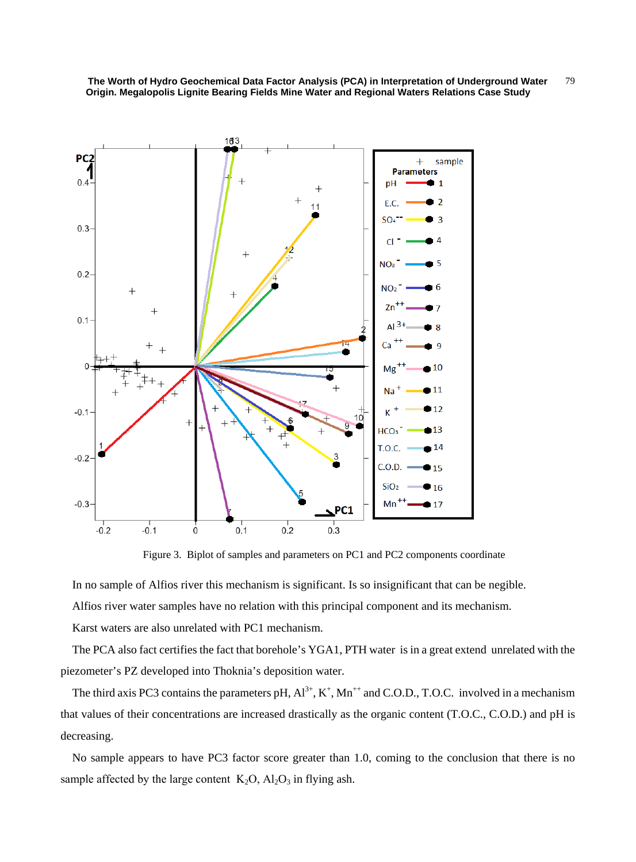

Figure 3. Biplot of samples and parameters on PC1 and PC2 components coordinate

In no sample of Alfios river this mechanism is significant. Is so insignificant that can be negible.

Alfios river water samples have no relation with this principal component and its mechanism.

Karst waters are also unrelated with PC1 mechanism.

The PCA also fact certifies the fact that borehole's YGA1, PTH water is in a great extend unrelated with the piezometer's PZ developed into Thoknia's deposition water.

The third axis PC3 contains the parameters pH,  $Al^{3+}$ ,  $K^+$ ,  $Mn^{++}$  and C.O.D., T.O.C. involved in a mechanism that values of their concentrations are increased drastically as the organic content (T.O.C., C.O.D.) and pH is decreasing.

No sample appears to have PC3 factor score greater than 1.0, coming to the conclusion that there is no sample affected by the large content  $K_2O$ ,  $Al_2O_3$  in flying ash.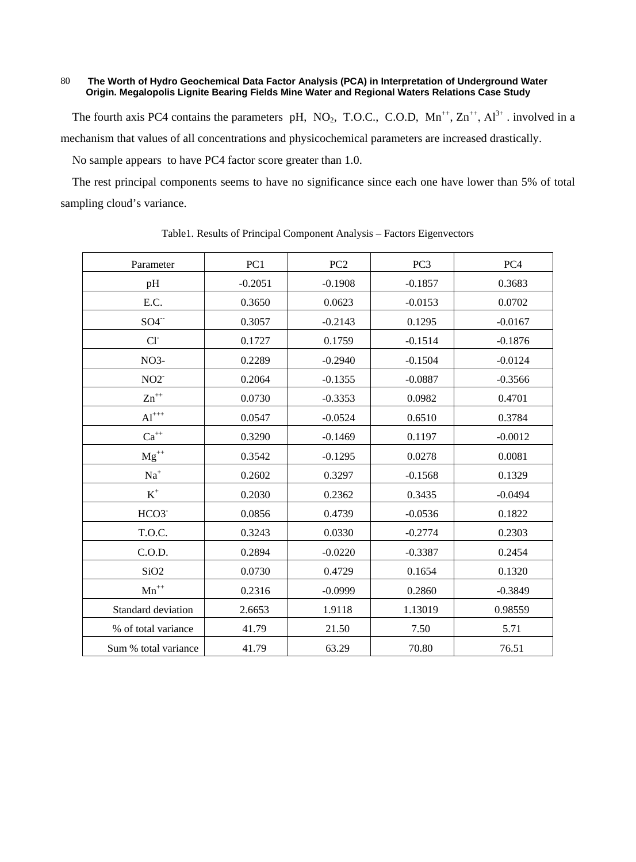The fourth axis PC4 contains the parameters pH, NO<sub>2</sub>, T.O.C., C.O.D,  $Mn^{++}$ ,  $Zn^{++}$ ,  $Al^{3+}$ . involved in a mechanism that values of all concentrations and physicochemical parameters are increased drastically.

No sample appears to have PC4 factor score greater than 1.0.

The rest principal components seems to have no significance since each one have lower than 5% of total sampling cloud's variance.

| Parameter            | PC1       | PC <sub>2</sub> | PC <sub>3</sub> | PC <sub>4</sub> |
|----------------------|-----------|-----------------|-----------------|-----------------|
| pH                   | $-0.2051$ | $-0.1908$       | $-0.1857$       | 0.3683          |
| E.C.                 | 0.3650    | 0.0623          | $-0.0153$       | 0.0702          |
| $SO4^-$              | 0.3057    | $-0.2143$       | 0.1295          | $-0.0167$       |
| CI <sub>1</sub>      | 0.1727    | 0.1759          | $-0.1514$       | $-0.1876$       |
| NO <sub>3</sub> -    | 0.2289    | $-0.2940$       | $-0.1504$       | $-0.0124$       |
| $NO2^-$              | 0.2064    | $-0.1355$       | $-0.0887$       | $-0.3566$       |
| $\rm Zn^{++}$        | 0.0730    | $-0.3353$       | 0.0982          | 0.4701          |
| $\mathrm{Al}^{+++}$  | 0.0547    | $-0.0524$       | 0.6510          | 0.3784          |
| $Ca^{++}$            | 0.3290    | $-0.1469$       | 0.1197          | $-0.0012$       |
| $Mg^{++}$            | 0.3542    | $-0.1295$       | 0.0278          | 0.0081          |
| $\mathrm{Na}^+$      | 0.2602    | 0.3297          | $-0.1568$       | 0.1329          |
| $\mbox{K}^+$         | 0.2030    | 0.2362          | 0.3435          | $-0.0494$       |
| HCO3                 | 0.0856    | 0.4739          | $-0.0536$       | 0.1822          |
| T.O.C.               | 0.3243    | 0.0330          | $-0.2774$       | 0.2303          |
| C.O.D.               | 0.2894    | $-0.0220$       | $-0.3387$       | 0.2454          |
| SiO <sub>2</sub>     | 0.0730    | 0.4729          | 0.1654          | 0.1320          |
| $\mathbf{Mn}^{++}$   | 0.2316    | $-0.0999$       | 0.2860          | $-0.3849$       |
| Standard deviation   | 2.6653    | 1.9118          | 1.13019         | 0.98559         |
| % of total variance  | 41.79     | 21.50           | 7.50            | 5.71            |
| Sum % total variance | 41.79     | 63.29           | 70.80           | 76.51           |

Table1. Results of Principal Component Analysis – Factors Eigenvectors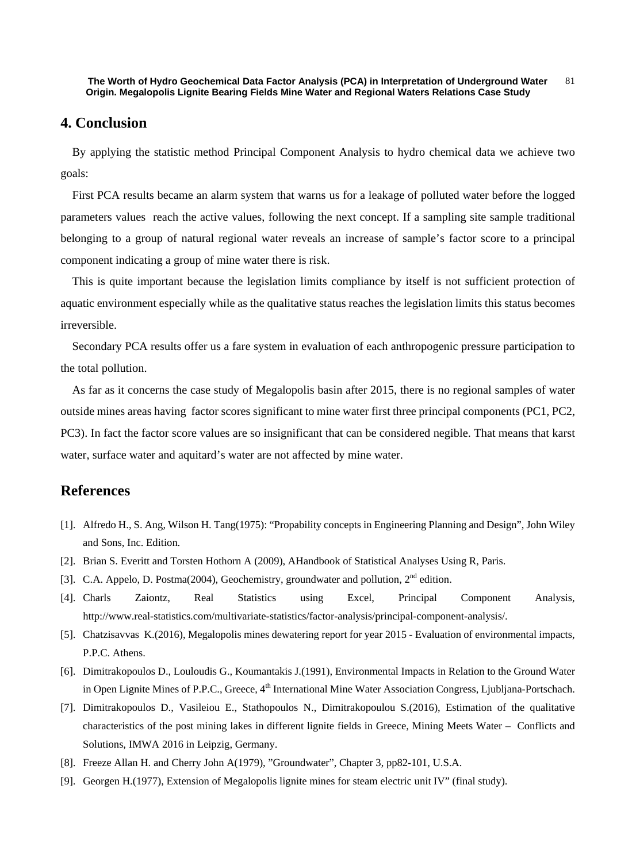## **4. Conclusion**

By applying the statistic method Principal Component Analysis to hydro chemical data we achieve two goals:

First PCA results became an alarm system that warns us for a leakage of polluted water before the logged parameters values reach the active values, following the next concept. If a sampling site sample traditional belonging to a group of natural regional water reveals an increase of sample's factor score to a principal component indicating a group of mine water there is risk.

This is quite important because the legislation limits compliance by itself is not sufficient protection of aquatic environment especially while as the qualitative status reaches the legislation limits this status becomes irreversible.

Secondary PCA results offer us a fare system in evaluation of each anthropogenic pressure participation to the total pollution.

As far as it concerns the case study of Megalopolis basin after 2015, there is no regional samples of water outside mines areas having factor scores significant to mine water first three principal components (PC1, PC2, PC3). In fact the factor score values are so insignificant that can be considered negible. That means that karst water, surface water and aquitard's water are not affected by mine water.

# **References**

- [1]. Alfredo H., S. Ang, Wilson H. Tang(1975): "Propability concepts in Engineering Planning and Design", John Wiley and Sons, Inc. Edition.
- [2]. Brian S. Everitt and Torsten Hothorn A (2009), AHandbook of Statistical Analyses Using R, Paris.
- [3]. C.A. Appelo, D. Postma(2004), Geochemistry, groundwater and pollution, 2<sup>nd</sup> edition.
- [4]. Charls Zaiontz, Real Statistics using Excel, Principal Component Analysis, http://www.real-statistics.com/multivariate-statistics/factor-analysis/principal-component-analysis/.
- [5]. Chatzisavvas K.(2016), Megalopolis mines dewatering report for year 2015 Evaluation of environmental impacts, P.P.C. Athens.
- [6]. Dimitrakopoulos D., Louloudis G., Koumantakis J.(1991), Environmental Impacts in Relation to the Ground Water in Open Lignite Mines of P.P.C., Greece, 4<sup>th</sup> International Mine Water Association Congress, Ljubljana-Portschach.
- [7]. Dimitrakopoulos D., Vasileiou E., Stathopoulos N., Dimitrakopoulou S.(2016), Estimation of the qualitative characteristics of the post mining lakes in different lignite fields in Greece, Mining Meets Water – Conflicts and Solutions, IMWA 2016 in Leipzig, Germany.
- [8]. Freeze Allan H. and Cherry John A(1979), "Groundwater", Chapter 3, pp82-101, U.S.A.
- [9]. Georgen H.(1977), Extension of Megalopolis lignite mines for steam electric unit IV" (final study).